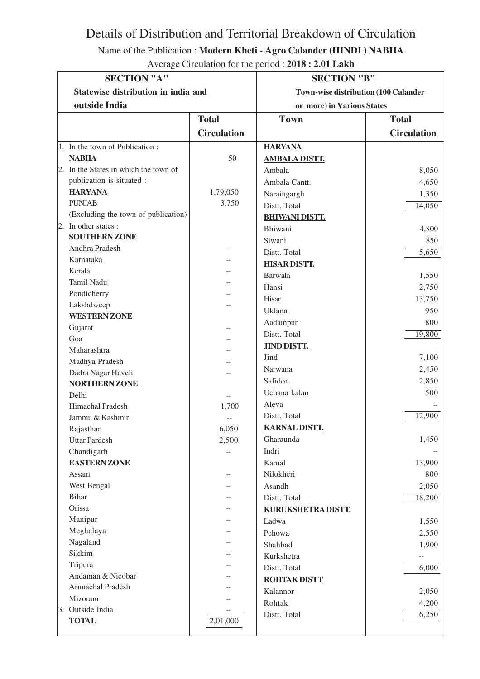Details of Distribution and Territorial Breakdown of Circulation

Name of the Publication : **Modern Kheti - Agro Calander (HINDI ) NABHA**

| Average Circulation for the period : 2018 : 2.01 Lakh |  |
|-------------------------------------------------------|--|
|-------------------------------------------------------|--|

| <b>SECTION "A"</b>                                   |                    | <b>SECTION "B"</b>                          |                            |
|------------------------------------------------------|--------------------|---------------------------------------------|----------------------------|
| Statewise distribution in india and<br>outside India |                    | <b>Town-wise distribution (100 Calander</b> |                            |
|                                                      |                    |                                             | or more) in Various States |
|                                                      | <b>Total</b>       | <b>Town</b>                                 | <b>Total</b>               |
|                                                      | <b>Circulation</b> |                                             | <b>Circulation</b>         |
| 1. In the town of Publication:                       |                    | <b>HARYANA</b>                              |                            |
| <b>NABHA</b>                                         | 50                 | <b>AMBALA DISTT.</b>                        |                            |
| 2. In the States in which the town of                |                    | Ambala                                      | 8,050                      |
| publication is situated :                            |                    | Ambala Cantt.                               | 4,650                      |
| <b>HARYANA</b>                                       | 1,79,050           | Naraingargh                                 | 1,350                      |
| <b>PUNJAB</b>                                        | 3,750              | Distt. Total                                | 14,050                     |
| (Excluding the town of publication)                  |                    | <b>BHIWANI DISTT.</b>                       |                            |
| 2. In other states :                                 |                    | Bhiwani                                     | 4,800                      |
| <b>SOUTHERN ZONE</b>                                 |                    | Siwani                                      | 850                        |
| Andhra Pradesh                                       |                    | Distt. Total                                | 5,650                      |
| Karnataka                                            |                    | <b>HISAR DISTT.</b>                         |                            |
| Kerala                                               |                    | Barwala                                     | 1,550                      |
| Tamil Nadu                                           |                    | Hansi                                       | 2,750                      |
| Pondicherry                                          |                    | Hisar                                       | 13,750                     |
| Lakshdweep                                           |                    | Uklana                                      | 950                        |
| <b>WESTERN ZONE</b>                                  |                    | Aadampur                                    | 800                        |
| Gujarat                                              |                    | Distt. Total                                | 19,800                     |
| Goa                                                  |                    | <b>JIND DISTT.</b>                          |                            |
| Maharashtra                                          |                    | Jind                                        | 7,100                      |
| Madhya Pradesh                                       |                    |                                             |                            |
| Dadra Nagar Haveli                                   |                    | Narwana<br>Safidon                          | 2,450                      |
| <b>NORTHERN ZONE</b>                                 |                    |                                             | 2,850                      |
| Delhi                                                |                    | Uchana kalan                                | 500                        |
| Himachal Pradesh                                     | 1,700              | Aleva                                       |                            |
| Jammu & Kashmir                                      |                    | Distt. Total                                | 12,900                     |
| Rajasthan                                            | 6,050              | <b>KARNAL DISTT,</b>                        |                            |
| <b>Uttar Pardesh</b>                                 | 2,500              | Gharaunda                                   | 1,450                      |
| Chandigarh                                           |                    | Indri                                       |                            |
| <b>EASTERN ZONE</b>                                  |                    | Karnal                                      | 13,900                     |
| Assam                                                |                    | Nilokheri                                   | 800                        |
| West Bengal                                          |                    | Asandh                                      | 2,050                      |
| Bihar                                                |                    | Distt. Total                                | 18,200                     |
| Orissa                                               |                    | KURUKSHETRA DISTT.                          |                            |
| Manipur                                              |                    | Ladwa                                       | 1,550                      |
| Meghalaya                                            |                    | Pehowa                                      | 2,550                      |
| Nagaland                                             |                    | Shahbad                                     | 1,900                      |
| Sikkim                                               |                    | Kurkshetra                                  | $- -$                      |
| Tripura                                              |                    | Distt. Total                                | 6,000                      |
| Andaman & Nicobar                                    |                    | <b>ROHTAK DISTT</b>                         |                            |
| Arunachal Pradesh                                    |                    | Kalannor                                    | 2,050                      |
| Mizoram                                              |                    | Rohtak                                      | 4,200                      |
| 3. Outside India                                     |                    | Distt. Total                                | 6,250                      |
| <b>TOTAL</b>                                         | 2,01,000           |                                             |                            |